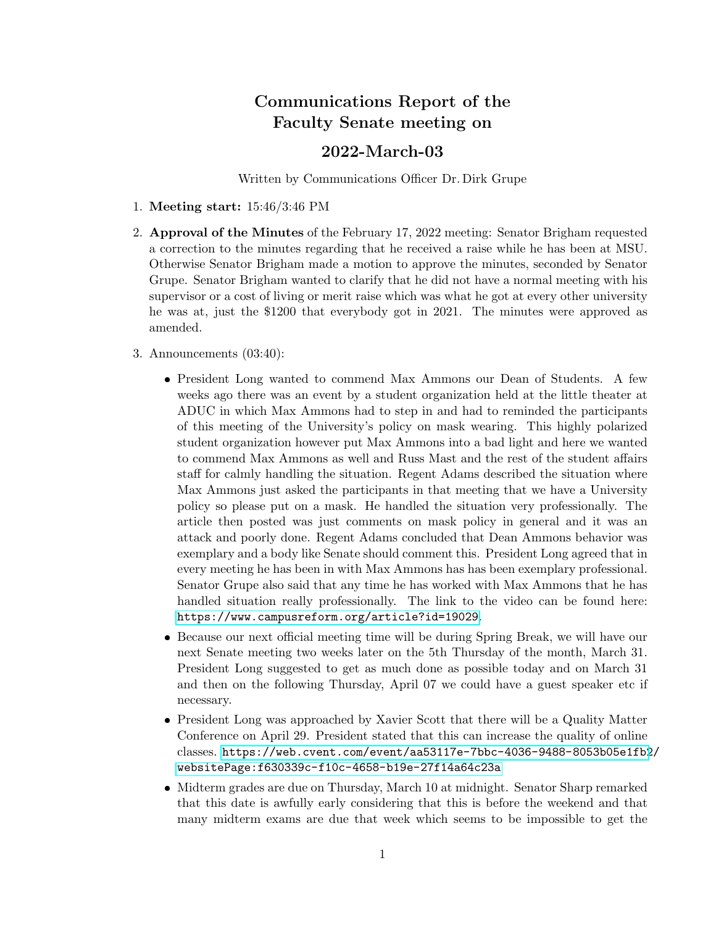# Communications Report of the Faculty Senate meeting on

### 2022-March-03

Written by Communications Officer Dr. Dirk Grupe

- 1. Meeting start: 15:46/3:46 PM
- 2. Approval of the Minutes of the February 17, 2022 meeting: Senator Brigham requested a correction to the minutes regarding that he received a raise while he has been at MSU. Otherwise Senator Brigham made a motion to approve the minutes, seconded by Senator Grupe. Senator Brigham wanted to clarify that he did not have a normal meeting with his supervisor or a cost of living or merit raise which was what he got at every other university he was at, just the \$1200 that everybody got in 2021. The minutes were approved as amended.
- 3. Announcements (03:40):
	- President Long wanted to commend Max Ammons our Dean of Students. A few weeks ago there was an event by a student organization held at the little theater at ADUC in which Max Ammons had to step in and had to reminded the participants of this meeting of the University's policy on mask wearing. This highly polarized student organization however put Max Ammons into a bad light and here we wanted to commend Max Ammons as well and Russ Mast and the rest of the student affairs staff for calmly handling the situation. Regent Adams described the situation where Max Ammons just asked the participants in that meeting that we have a University policy so please put on a mask. He handled the situation very professionally. The article then posted was just comments on mask policy in general and it was an attack and poorly done. Regent Adams concluded that Dean Ammons behavior was exemplary and a body like Senate should comment this. President Long agreed that in every meeting he has been in with Max Ammons has has been exemplary professional. Senator Grupe also said that any time he has worked with Max Ammons that he has handled situation really professionally. The link to the video can be found here: <https://www.campusreform.org/article?id=19029>.
	- Because our next official meeting time will be during Spring Break, we will have our next Senate meeting two weeks later on the 5th Thursday of the month, March 31. President Long suggested to get as much done as possible today and on March 31 and then on the following Thursday, April 07 we could have a guest speaker etc if necessary.
	- President Long was approached by Xavier Scott that there will be a Quality Matter Conference on April 29. President stated that this can increase the quality of online classes. [https://web.cvent.com/event/aa53117e-7bbc-4036-9488-8053b05e1fb2](https://web.cvent.com/event/aa53117e-7bbc-4036-9488-8053b05e1fb2/websitePage:f630339c-f10c-4658-b19e-27f14a64c23a)/ [websitePage:f630339c-f10c-4658-b19e-27f14a64c23a](https://web.cvent.com/event/aa53117e-7bbc-4036-9488-8053b05e1fb2/websitePage:f630339c-f10c-4658-b19e-27f14a64c23a)
	- Midterm grades are due on Thursday, March 10 at midnight. Senator Sharp remarked that this date is awfully early considering that this is before the weekend and that many midterm exams are due that week which seems to be impossible to get the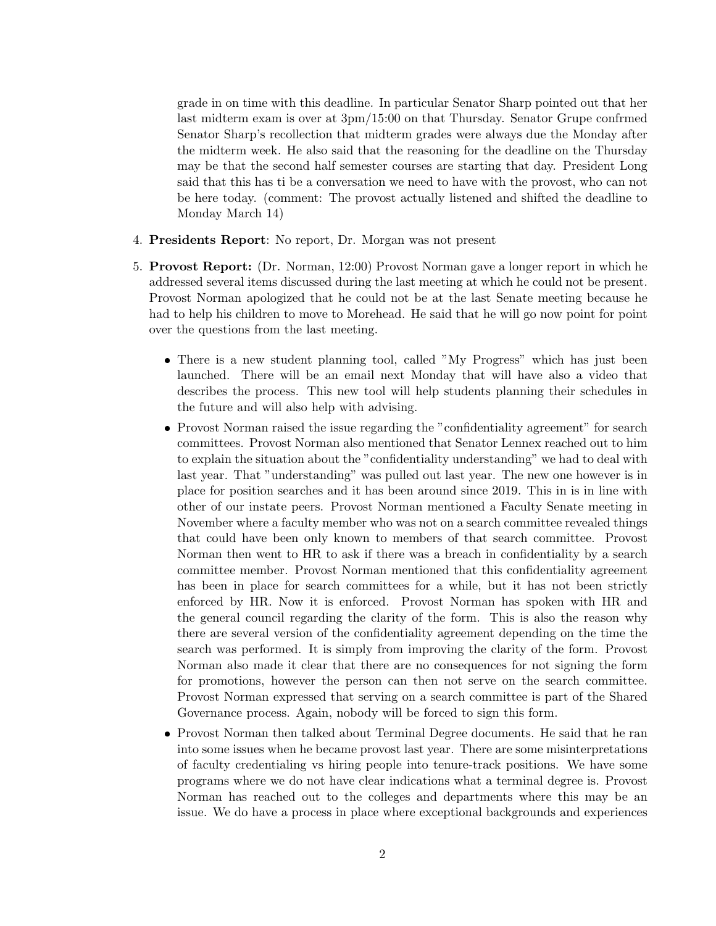grade in on time with this deadline. In particular Senator Sharp pointed out that her last midterm exam is over at 3pm/15:00 on that Thursday. Senator Grupe confrmed Senator Sharp's recollection that midterm grades were always due the Monday after the midterm week. He also said that the reasoning for the deadline on the Thursday may be that the second half semester courses are starting that day. President Long said that this has ti be a conversation we need to have with the provost, who can not be here today. (comment: The provost actually listened and shifted the deadline to Monday March 14)

- 4. Presidents Report: No report, Dr. Morgan was not present
- 5. Provost Report: (Dr. Norman, 12:00) Provost Norman gave a longer report in which he addressed several items discussed during the last meeting at which he could not be present. Provost Norman apologized that he could not be at the last Senate meeting because he had to help his children to move to Morehead. He said that he will go now point for point over the questions from the last meeting.
	- There is a new student planning tool, called "My Progress" which has just been launched. There will be an email next Monday that will have also a video that describes the process. This new tool will help students planning their schedules in the future and will also help with advising.
	- Provost Norman raised the issue regarding the "confidentiality agreement" for search committees. Provost Norman also mentioned that Senator Lennex reached out to him to explain the situation about the "confidentiality understanding" we had to deal with last year. That "understanding" was pulled out last year. The new one however is in place for position searches and it has been around since 2019. This in is in line with other of our instate peers. Provost Norman mentioned a Faculty Senate meeting in November where a faculty member who was not on a search committee revealed things that could have been only known to members of that search committee. Provost Norman then went to HR to ask if there was a breach in confidentiality by a search committee member. Provost Norman mentioned that this confidentiality agreement has been in place for search committees for a while, but it has not been strictly enforced by HR. Now it is enforced. Provost Norman has spoken with HR and the general council regarding the clarity of the form. This is also the reason why there are several version of the confidentiality agreement depending on the time the search was performed. It is simply from improving the clarity of the form. Provost Norman also made it clear that there are no consequences for not signing the form for promotions, however the person can then not serve on the search committee. Provost Norman expressed that serving on a search committee is part of the Shared Governance process. Again, nobody will be forced to sign this form.
	- Provost Norman then talked about Terminal Degree documents. He said that he ran into some issues when he became provost last year. There are some misinterpretations of faculty credentialing vs hiring people into tenure-track positions. We have some programs where we do not have clear indications what a terminal degree is. Provost Norman has reached out to the colleges and departments where this may be an issue. We do have a process in place where exceptional backgrounds and experiences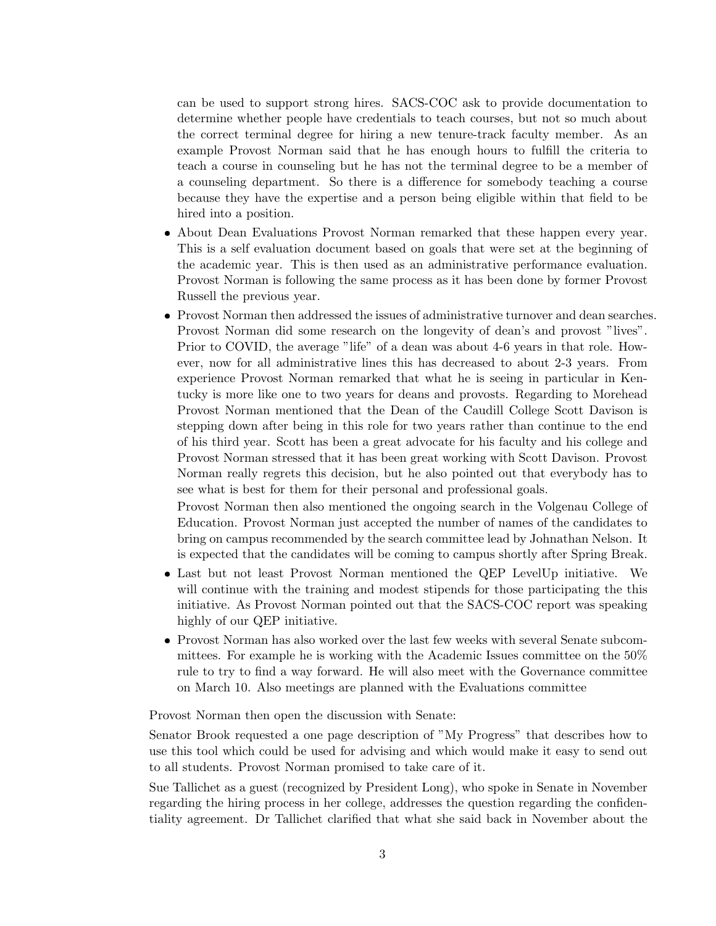can be used to support strong hires. SACS-COC ask to provide documentation to determine whether people have credentials to teach courses, but not so much about the correct terminal degree for hiring a new tenure-track faculty member. As an example Provost Norman said that he has enough hours to fulfill the criteria to teach a course in counseling but he has not the terminal degree to be a member of a counseling department. So there is a difference for somebody teaching a course because they have the expertise and a person being eligible within that field to be hired into a position.

- About Dean Evaluations Provost Norman remarked that these happen every year. This is a self evaluation document based on goals that were set at the beginning of the academic year. This is then used as an administrative performance evaluation. Provost Norman is following the same process as it has been done by former Provost Russell the previous year.
- Provost Norman then addressed the issues of administrative turnover and dean searches. Provost Norman did some research on the longevity of dean's and provost "lives". Prior to COVID, the average "life" of a dean was about 4-6 years in that role. However, now for all administrative lines this has decreased to about 2-3 years. From experience Provost Norman remarked that what he is seeing in particular in Kentucky is more like one to two years for deans and provosts. Regarding to Morehead Provost Norman mentioned that the Dean of the Caudill College Scott Davison is stepping down after being in this role for two years rather than continue to the end of his third year. Scott has been a great advocate for his faculty and his college and Provost Norman stressed that it has been great working with Scott Davison. Provost Norman really regrets this decision, but he also pointed out that everybody has to see what is best for them for their personal and professional goals.

Provost Norman then also mentioned the ongoing search in the Volgenau College of Education. Provost Norman just accepted the number of names of the candidates to bring on campus recommended by the search committee lead by Johnathan Nelson. It is expected that the candidates will be coming to campus shortly after Spring Break.

- Last but not least Provost Norman mentioned the QEP LevelUp initiative. We will continue with the training and modest stipends for those participating the this initiative. As Provost Norman pointed out that the SACS-COC report was speaking highly of our QEP initiative.
- Provost Norman has also worked over the last few weeks with several Senate subcommittees. For example he is working with the Academic Issues committee on the 50% rule to try to find a way forward. He will also meet with the Governance committee on March 10. Also meetings are planned with the Evaluations committee

Provost Norman then open the discussion with Senate:

Senator Brook requested a one page description of "My Progress" that describes how to use this tool which could be used for advising and which would make it easy to send out to all students. Provost Norman promised to take care of it.

Sue Tallichet as a guest (recognized by President Long), who spoke in Senate in November regarding the hiring process in her college, addresses the question regarding the confidentiality agreement. Dr Tallichet clarified that what she said back in November about the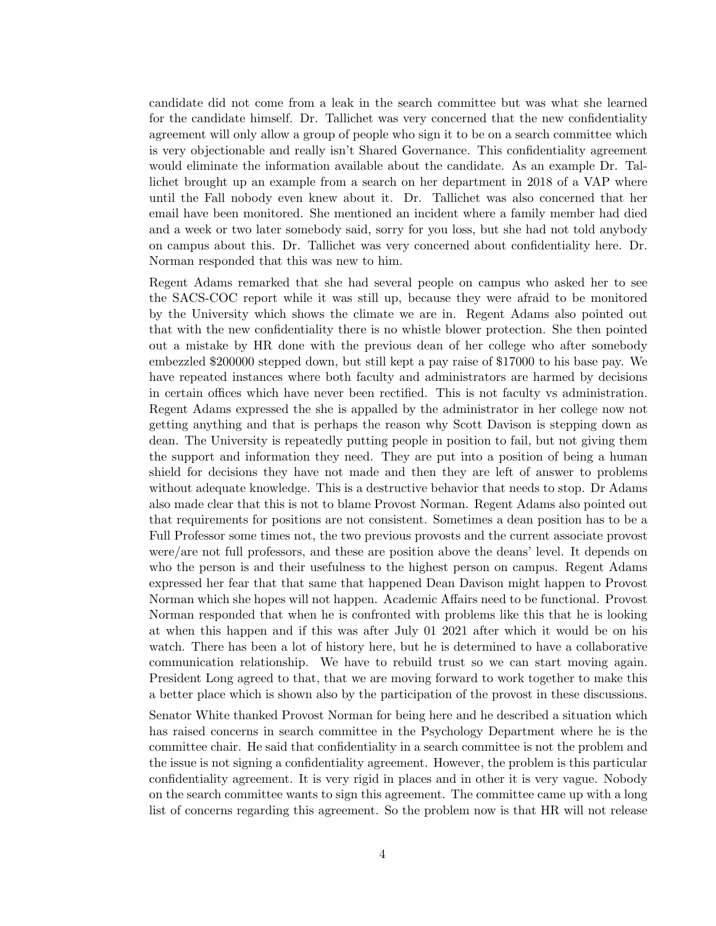candidate did not come from a leak in the search committee but was what she learned for the candidate himself. Dr. Tallichet was very concerned that the new confidentiality agreement will only allow a group of people who sign it to be on a search committee which is very objectionable and really isn't Shared Governance. This confidentiality agreement would eliminate the information available about the candidate. As an example Dr. Tallichet brought up an example from a search on her department in 2018 of a VAP where until the Fall nobody even knew about it. Dr. Tallichet was also concerned that her email have been monitored. She mentioned an incident where a family member had died and a week or two later somebody said, sorry for you loss, but she had not told anybody on campus about this. Dr. Tallichet was very concerned about confidentiality here. Dr. Norman responded that this was new to him.

Regent Adams remarked that she had several people on campus who asked her to see the SACS-COC report while it was still up, because they were afraid to be monitored by the University which shows the climate we are in. Regent Adams also pointed out that with the new confidentiality there is no whistle blower protection. She then pointed out a mistake by HR done with the previous dean of her college who after somebody embezzled \$200000 stepped down, but still kept a pay raise of \$17000 to his base pay. We have repeated instances where both faculty and administrators are harmed by decisions in certain offices which have never been rectified. This is not faculty vs administration. Regent Adams expressed the she is appalled by the administrator in her college now not getting anything and that is perhaps the reason why Scott Davison is stepping down as dean. The University is repeatedly putting people in position to fail, but not giving them the support and information they need. They are put into a position of being a human shield for decisions they have not made and then they are left of answer to problems without adequate knowledge. This is a destructive behavior that needs to stop. Dr Adams also made clear that this is not to blame Provost Norman. Regent Adams also pointed out that requirements for positions are not consistent. Sometimes a dean position has to be a Full Professor some times not, the two previous provosts and the current associate provost were/are not full professors, and these are position above the deans' level. It depends on who the person is and their usefulness to the highest person on campus. Regent Adams expressed her fear that that same that happened Dean Davison might happen to Provost Norman which she hopes will not happen. Academic Affairs need to be functional. Provost Norman responded that when he is confronted with problems like this that he is looking at when this happen and if this was after July 01 2021 after which it would be on his watch. There has been a lot of history here, but he is determined to have a collaborative communication relationship. We have to rebuild trust so we can start moving again. President Long agreed to that, that we are moving forward to work together to make this a better place which is shown also by the participation of the provost in these discussions.

Senator White thanked Provost Norman for being here and he described a situation which has raised concerns in search committee in the Psychology Department where he is the committee chair. He said that confidentiality in a search committee is not the problem and the issue is not signing a confidentiality agreement. However, the problem is this particular confidentiality agreement. It is very rigid in places and in other it is very vague. Nobody on the search committee wants to sign this agreement. The committee came up with a long list of concerns regarding this agreement. So the problem now is that HR will not release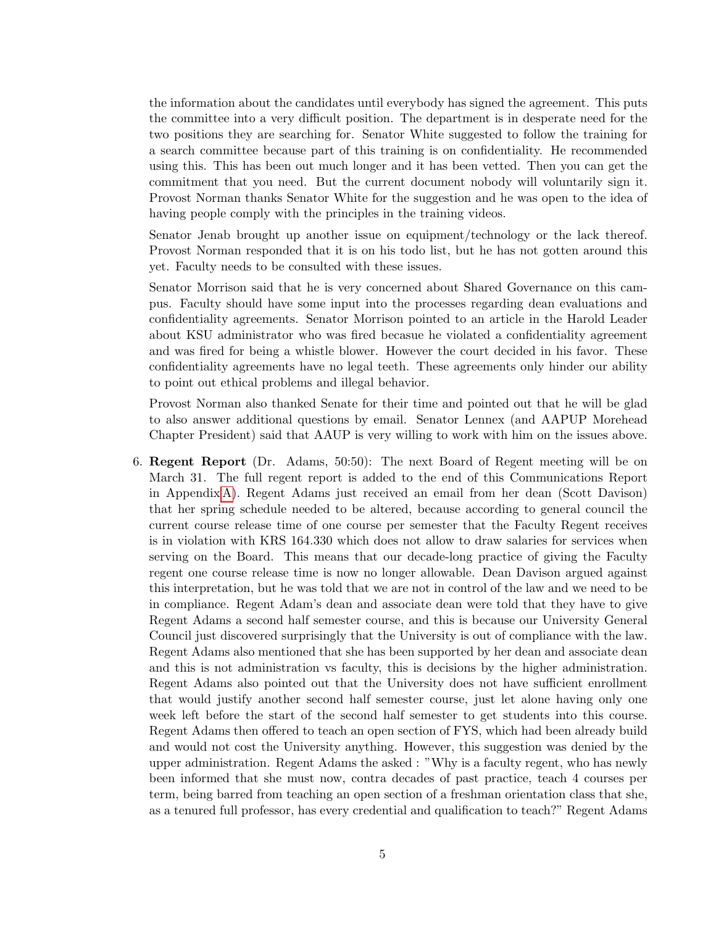the information about the candidates until everybody has signed the agreement. This puts the committee into a very difficult position. The department is in desperate need for the two positions they are searching for. Senator White suggested to follow the training for a search committee because part of this training is on confidentiality. He recommended using this. This has been out much longer and it has been vetted. Then you can get the commitment that you need. But the current document nobody will voluntarily sign it. Provost Norman thanks Senator White for the suggestion and he was open to the idea of having people comply with the principles in the training videos.

Senator Jenab brought up another issue on equipment/technology or the lack thereof. Provost Norman responded that it is on his todo list, but he has not gotten around this yet. Faculty needs to be consulted with these issues.

Senator Morrison said that he is very concerned about Shared Governance on this campus. Faculty should have some input into the processes regarding dean evaluations and confidentiality agreements. Senator Morrison pointed to an article in the Harold Leader about KSU administrator who was fired becasue he violated a confidentiality agreement and was fired for being a whistle blower. However the court decided in his favor. These confidentiality agreements have no legal teeth. These agreements only hinder our ability to point out ethical problems and illegal behavior.

Provost Norman also thanked Senate for their time and pointed out that he will be glad to also answer additional questions by email. Senator Lennex (and AAPUP Morehead Chapter President) said that AAUP is very willing to work with him on the issues above.

6. Regent Report (Dr. Adams, 50:50): The next Board of Regent meeting will be on March 31. The full regent report is added to the end of this Communications Report in Appendix [A\)](#page-9-0). Regent Adams just received an email from her dean (Scott Davison) that her spring schedule needed to be altered, because according to general council the current course release time of one course per semester that the Faculty Regent receives is in violation with KRS 164.330 which does not allow to draw salaries for services when serving on the Board. This means that our decade-long practice of giving the Faculty regent one course release time is now no longer allowable. Dean Davison argued against this interpretation, but he was told that we are not in control of the law and we need to be in compliance. Regent Adam's dean and associate dean were told that they have to give Regent Adams a second half semester course, and this is because our University General Council just discovered surprisingly that the University is out of compliance with the law. Regent Adams also mentioned that she has been supported by her dean and associate dean and this is not administration vs faculty, this is decisions by the higher administration. Regent Adams also pointed out that the University does not have sufficient enrollment that would justify another second half semester course, just let alone having only one week left before the start of the second half semester to get students into this course. Regent Adams then offered to teach an open section of FYS, which had been already build and would not cost the University anything. However, this suggestion was denied by the upper administration. Regent Adams the asked : "Why is a faculty regent, who has newly been informed that she must now, contra decades of past practice, teach 4 courses per term, being barred from teaching an open section of a freshman orientation class that she, as a tenured full professor, has every credential and qualification to teach?" Regent Adams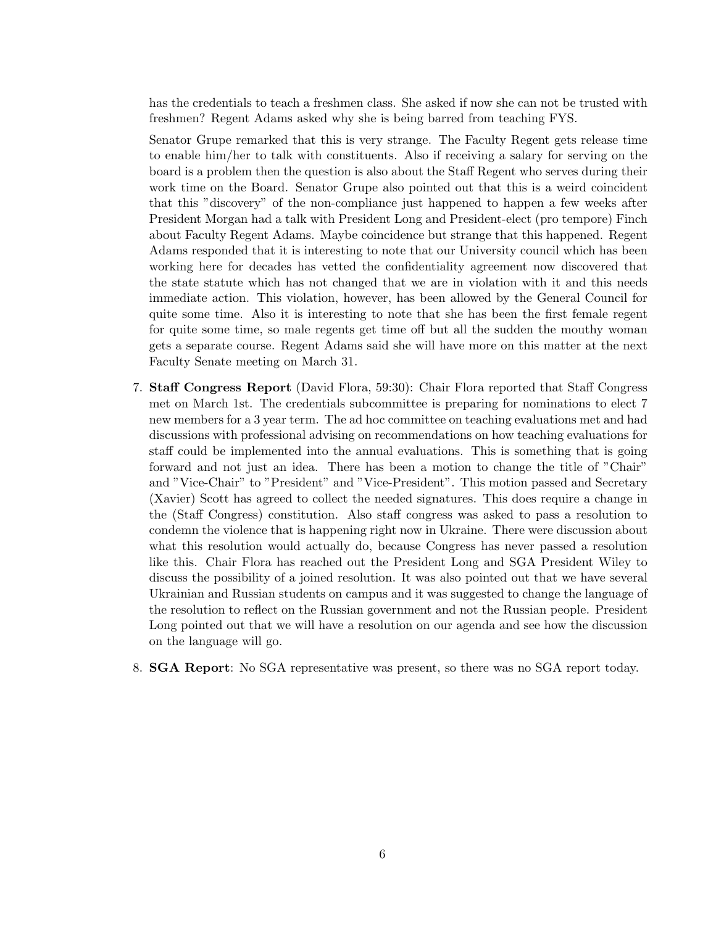has the credentials to teach a freshmen class. She asked if now she can not be trusted with freshmen? Regent Adams asked why she is being barred from teaching FYS.

Senator Grupe remarked that this is very strange. The Faculty Regent gets release time to enable him/her to talk with constituents. Also if receiving a salary for serving on the board is a problem then the question is also about the Staff Regent who serves during their work time on the Board. Senator Grupe also pointed out that this is a weird coincident that this "discovery" of the non-compliance just happened to happen a few weeks after President Morgan had a talk with President Long and President-elect (pro tempore) Finch about Faculty Regent Adams. Maybe coincidence but strange that this happened. Regent Adams responded that it is interesting to note that our University council which has been working here for decades has vetted the confidentiality agreement now discovered that the state statute which has not changed that we are in violation with it and this needs immediate action. This violation, however, has been allowed by the General Council for quite some time. Also it is interesting to note that she has been the first female regent for quite some time, so male regents get time off but all the sudden the mouthy woman gets a separate course. Regent Adams said she will have more on this matter at the next Faculty Senate meeting on March 31.

- 7. Staff Congress Report (David Flora, 59:30): Chair Flora reported that Staff Congress met on March 1st. The credentials subcommittee is preparing for nominations to elect 7 new members for a 3 year term. The ad hoc committee on teaching evaluations met and had discussions with professional advising on recommendations on how teaching evaluations for staff could be implemented into the annual evaluations. This is something that is going forward and not just an idea. There has been a motion to change the title of "Chair" and "Vice-Chair" to "President" and "Vice-President". This motion passed and Secretary (Xavier) Scott has agreed to collect the needed signatures. This does require a change in the (Staff Congress) constitution. Also staff congress was asked to pass a resolution to condemn the violence that is happening right now in Ukraine. There were discussion about what this resolution would actually do, because Congress has never passed a resolution like this. Chair Flora has reached out the President Long and SGA President Wiley to discuss the possibility of a joined resolution. It was also pointed out that we have several Ukrainian and Russian students on campus and it was suggested to change the language of the resolution to reflect on the Russian government and not the Russian people. President Long pointed out that we will have a resolution on our agenda and see how the discussion on the language will go.
- 8. SGA Report: No SGA representative was present, so there was no SGA report today.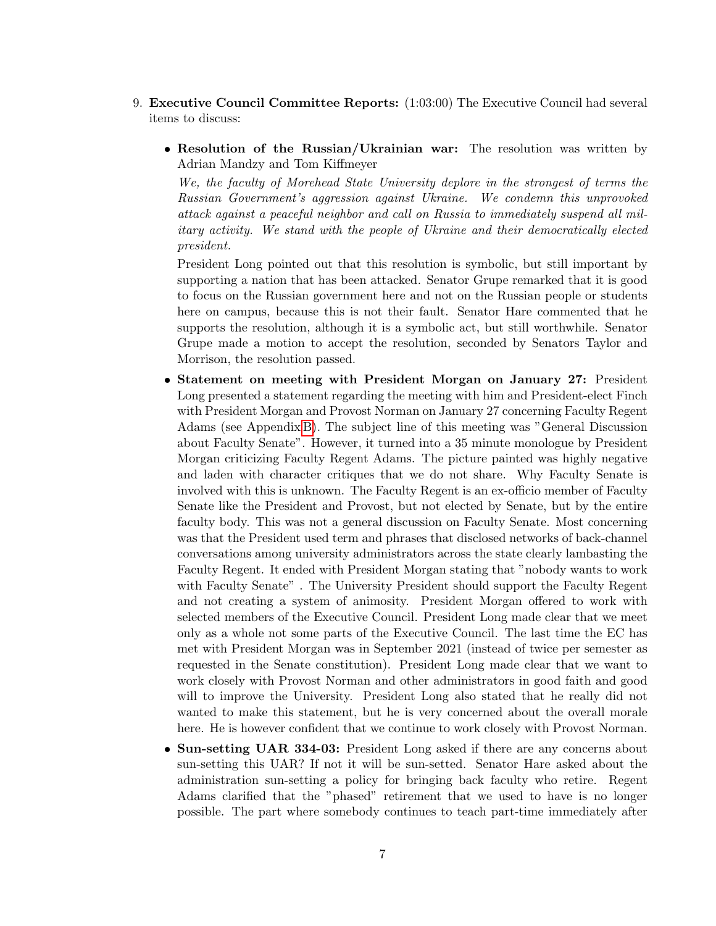- 9. Executive Council Committee Reports: (1:03:00) The Executive Council had several items to discuss:
	- Resolution of the Russian/Ukrainian war: The resolution was written by Adrian Mandzy and Tom Kiffmeyer

We, the faculty of Morehead State University deplore in the strongest of terms the Russian Government's aggression against Ukraine. We condemn this unprovoked attack against a peaceful neighbor and call on Russia to immediately suspend all military activity. We stand with the people of Ukraine and their democratically elected president.

President Long pointed out that this resolution is symbolic, but still important by supporting a nation that has been attacked. Senator Grupe remarked that it is good to focus on the Russian government here and not on the Russian people or students here on campus, because this is not their fault. Senator Hare commented that he supports the resolution, although it is a symbolic act, but still worthwhile. Senator Grupe made a motion to accept the resolution, seconded by Senators Taylor and Morrison, the resolution passed.

- Statement on meeting with President Morgan on January 27: President Long presented a statement regarding the meeting with him and President-elect Finch with President Morgan and Provost Norman on January 27 concerning Faculty Regent Adams (see Appendix [B\)](#page-11-0). The subject line of this meeting was "General Discussion about Faculty Senate". However, it turned into a 35 minute monologue by President Morgan criticizing Faculty Regent Adams. The picture painted was highly negative and laden with character critiques that we do not share. Why Faculty Senate is involved with this is unknown. The Faculty Regent is an ex-officio member of Faculty Senate like the President and Provost, but not elected by Senate, but by the entire faculty body. This was not a general discussion on Faculty Senate. Most concerning was that the President used term and phrases that disclosed networks of back-channel conversations among university administrators across the state clearly lambasting the Faculty Regent. It ended with President Morgan stating that "nobody wants to work with Faculty Senate" . The University President should support the Faculty Regent and not creating a system of animosity. President Morgan offered to work with selected members of the Executive Council. President Long made clear that we meet only as a whole not some parts of the Executive Council. The last time the EC has met with President Morgan was in September 2021 (instead of twice per semester as requested in the Senate constitution). President Long made clear that we want to work closely with Provost Norman and other administrators in good faith and good will to improve the University. President Long also stated that he really did not wanted to make this statement, but he is very concerned about the overall morale here. He is however confident that we continue to work closely with Provost Norman.
- Sun-setting UAR 334-03: President Long asked if there are any concerns about sun-setting this UAR? If not it will be sun-setted. Senator Hare asked about the administration sun-setting a policy for bringing back faculty who retire. Regent Adams clarified that the "phased" retirement that we used to have is no longer possible. The part where somebody continues to teach part-time immediately after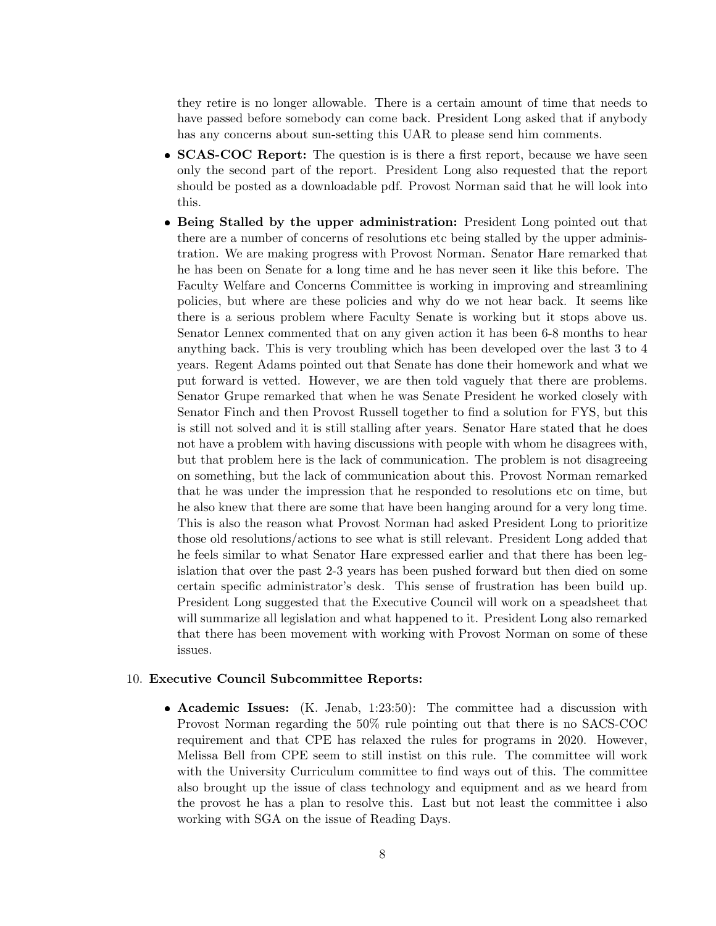they retire is no longer allowable. There is a certain amount of time that needs to have passed before somebody can come back. President Long asked that if anybody has any concerns about sun-setting this UAR to please send him comments.

- **SCAS-COC Report:** The question is is there a first report, because we have seen only the second part of the report. President Long also requested that the report should be posted as a downloadable pdf. Provost Norman said that he will look into this.
- Being Stalled by the upper administration: President Long pointed out that there are a number of concerns of resolutions etc being stalled by the upper administration. We are making progress with Provost Norman. Senator Hare remarked that he has been on Senate for a long time and he has never seen it like this before. The Faculty Welfare and Concerns Committee is working in improving and streamlining policies, but where are these policies and why do we not hear back. It seems like there is a serious problem where Faculty Senate is working but it stops above us. Senator Lennex commented that on any given action it has been 6-8 months to hear anything back. This is very troubling which has been developed over the last 3 to 4 years. Regent Adams pointed out that Senate has done their homework and what we put forward is vetted. However, we are then told vaguely that there are problems. Senator Grupe remarked that when he was Senate President he worked closely with Senator Finch and then Provost Russell together to find a solution for FYS, but this is still not solved and it is still stalling after years. Senator Hare stated that he does not have a problem with having discussions with people with whom he disagrees with, but that problem here is the lack of communication. The problem is not disagreeing on something, but the lack of communication about this. Provost Norman remarked that he was under the impression that he responded to resolutions etc on time, but he also knew that there are some that have been hanging around for a very long time. This is also the reason what Provost Norman had asked President Long to prioritize those old resolutions/actions to see what is still relevant. President Long added that he feels similar to what Senator Hare expressed earlier and that there has been legislation that over the past 2-3 years has been pushed forward but then died on some certain specific administrator's desk. This sense of frustration has been build up. President Long suggested that the Executive Council will work on a speadsheet that will summarize all legislation and what happened to it. President Long also remarked that there has been movement with working with Provost Norman on some of these issues.

#### 10. Executive Council Subcommittee Reports:

 Academic Issues: (K. Jenab, 1:23:50): The committee had a discussion with Provost Norman regarding the 50% rule pointing out that there is no SACS-COC requirement and that CPE has relaxed the rules for programs in 2020. However, Melissa Bell from CPE seem to still instist on this rule. The committee will work with the University Curriculum committee to find ways out of this. The committee also brought up the issue of class technology and equipment and as we heard from the provost he has a plan to resolve this. Last but not least the committee i also working with SGA on the issue of Reading Days.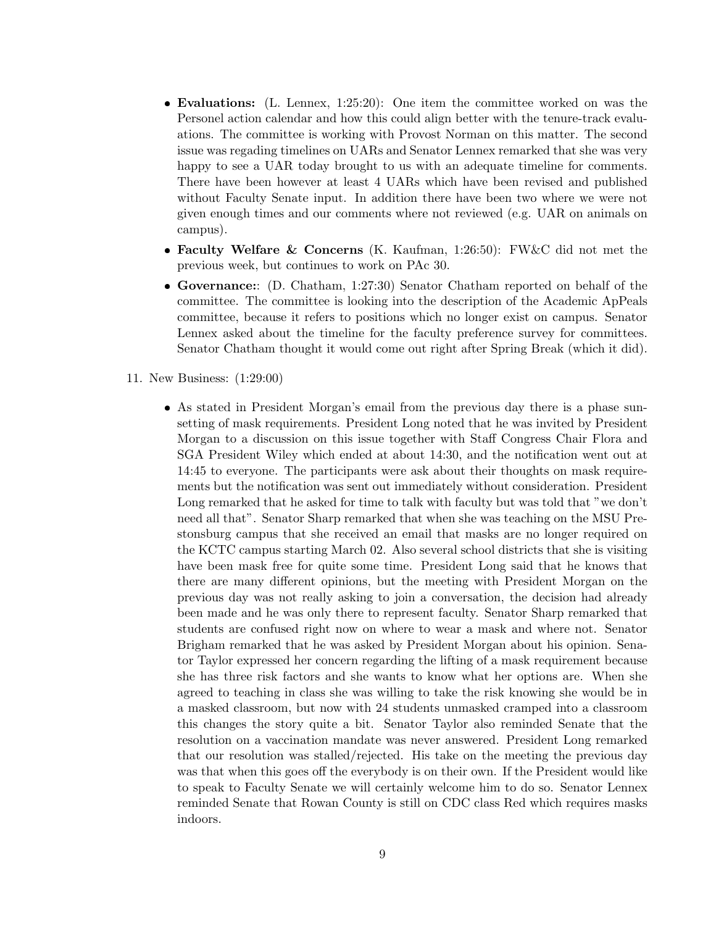- Evaluations: (L. Lennex, 1:25:20): One item the committee worked on was the Personel action calendar and how this could align better with the tenure-track evaluations. The committee is working with Provost Norman on this matter. The second issue was regading timelines on UARs and Senator Lennex remarked that she was very happy to see a UAR today brought to us with an adequate timeline for comments. There have been however at least 4 UARs which have been revised and published without Faculty Senate input. In addition there have been two where we were not given enough times and our comments where not reviewed (e.g. UAR on animals on campus).
- Faculty Welfare & Concerns (K. Kaufman, 1:26:50): FW & C did not met the previous week, but continues to work on PAc 30.
- Governance:: (D. Chatham, 1:27:30) Senator Chatham reported on behalf of the committee. The committee is looking into the description of the Academic ApPeals committee, because it refers to positions which no longer exist on campus. Senator Lennex asked about the timeline for the faculty preference survey for committees. Senator Chatham thought it would come out right after Spring Break (which it did).
- 11. New Business: (1:29:00)
	- As stated in President Morgan's email from the previous day there is a phase sunsetting of mask requirements. President Long noted that he was invited by President Morgan to a discussion on this issue together with Staff Congress Chair Flora and SGA President Wiley which ended at about 14:30, and the notification went out at 14:45 to everyone. The participants were ask about their thoughts on mask requirements but the notification was sent out immediately without consideration. President Long remarked that he asked for time to talk with faculty but was told that "we don't need all that". Senator Sharp remarked that when she was teaching on the MSU Prestonsburg campus that she received an email that masks are no longer required on the KCTC campus starting March 02. Also several school districts that she is visiting have been mask free for quite some time. President Long said that he knows that there are many different opinions, but the meeting with President Morgan on the previous day was not really asking to join a conversation, the decision had already been made and he was only there to represent faculty. Senator Sharp remarked that students are confused right now on where to wear a mask and where not. Senator Brigham remarked that he was asked by President Morgan about his opinion. Senator Taylor expressed her concern regarding the lifting of a mask requirement because she has three risk factors and she wants to know what her options are. When she agreed to teaching in class she was willing to take the risk knowing she would be in a masked classroom, but now with 24 students unmasked cramped into a classroom this changes the story quite a bit. Senator Taylor also reminded Senate that the resolution on a vaccination mandate was never answered. President Long remarked that our resolution was stalled/rejected. His take on the meeting the previous day was that when this goes off the everybody is on their own. If the President would like to speak to Faculty Senate we will certainly welcome him to do so. Senator Lennex reminded Senate that Rowan County is still on CDC class Red which requires masks indoors.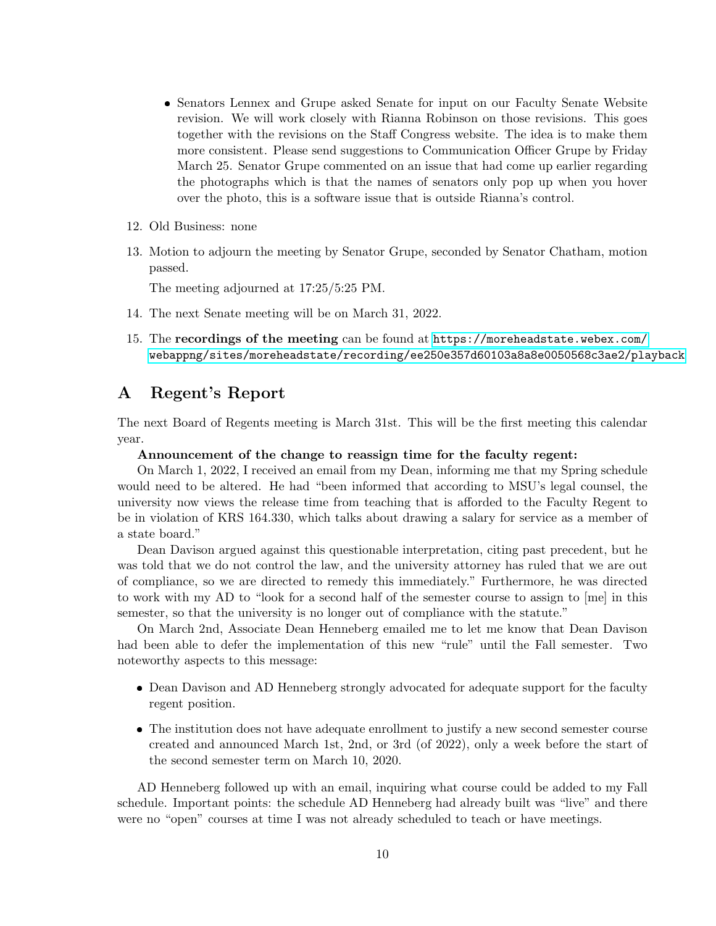- Senators Lennex and Grupe asked Senate for input on our Faculty Senate Website revision. We will work closely with Rianna Robinson on those revisions. This goes together with the revisions on the Staff Congress website. The idea is to make them more consistent. Please send suggestions to Communication Officer Grupe by Friday March 25. Senator Grupe commented on an issue that had come up earlier regarding the photographs which is that the names of senators only pop up when you hover over the photo, this is a software issue that is outside Rianna's control.
- 12. Old Business: none
- 13. Motion to adjourn the meeting by Senator Grupe, seconded by Senator Chatham, motion passed.

The meeting adjourned at 17:25/5:25 PM.

- 14. The next Senate meeting will be on March 31, 2022.
- 15. The recordings of the meeting can be found at [https://moreheadstate.webex.com/](https://moreheadstate.webex.com/webappng/sites/moreheadstate/recording/ee250e357d60103a8a8e0050568c3ae2/playback) [webappng/sites/moreheadstate/recording/ee250e357d60103a8a8e0050568c3ae2/playback](https://moreheadstate.webex.com/webappng/sites/moreheadstate/recording/ee250e357d60103a8a8e0050568c3ae2/playback)

### <span id="page-9-0"></span>A Regent's Report

The next Board of Regents meeting is March 31st. This will be the first meeting this calendar year.

#### Announcement of the change to reassign time for the faculty regent:

On March 1, 2022, I received an email from my Dean, informing me that my Spring schedule would need to be altered. He had "been informed that according to MSU's legal counsel, the university now views the release time from teaching that is afforded to the Faculty Regent to be in violation of KRS 164.330, which talks about drawing a salary for service as a member of a state board."

Dean Davison argued against this questionable interpretation, citing past precedent, but he was told that we do not control the law, and the university attorney has ruled that we are out of compliance, so we are directed to remedy this immediately." Furthermore, he was directed to work with my AD to "look for a second half of the semester course to assign to [me] in this semester, so that the university is no longer out of compliance with the statute."

On March 2nd, Associate Dean Henneberg emailed me to let me know that Dean Davison had been able to defer the implementation of this new "rule" until the Fall semester. Two noteworthy aspects to this message:

- Dean Davison and AD Henneberg strongly advocated for adequate support for the faculty regent position.
- The institution does not have adequate enrollment to justify a new second semester course created and announced March 1st, 2nd, or 3rd (of 2022), only a week before the start of the second semester term on March 10, 2020.

AD Henneberg followed up with an email, inquiring what course could be added to my Fall schedule. Important points: the schedule AD Henneberg had already built was "live" and there were no "open" courses at time I was not already scheduled to teach or have meetings.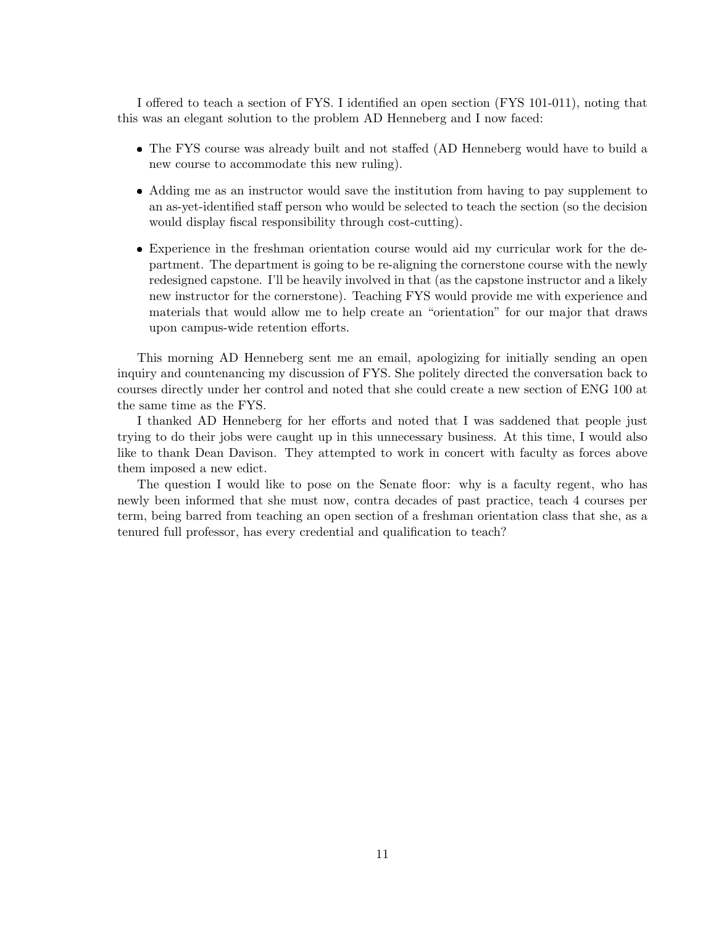I offered to teach a section of FYS. I identified an open section (FYS 101-011), noting that this was an elegant solution to the problem AD Henneberg and I now faced:

- The FYS course was already built and not staffed (AD Henneberg would have to build a new course to accommodate this new ruling).
- Adding me as an instructor would save the institution from having to pay supplement to an as-yet-identified staff person who would be selected to teach the section (so the decision would display fiscal responsibility through cost-cutting).
- Experience in the freshman orientation course would aid my curricular work for the department. The department is going to be re-aligning the cornerstone course with the newly redesigned capstone. I'll be heavily involved in that (as the capstone instructor and a likely new instructor for the cornerstone). Teaching FYS would provide me with experience and materials that would allow me to help create an "orientation" for our major that draws upon campus-wide retention efforts.

This morning AD Henneberg sent me an email, apologizing for initially sending an open inquiry and countenancing my discussion of FYS. She politely directed the conversation back to courses directly under her control and noted that she could create a new section of ENG 100 at the same time as the FYS.

I thanked AD Henneberg for her efforts and noted that I was saddened that people just trying to do their jobs were caught up in this unnecessary business. At this time, I would also like to thank Dean Davison. They attempted to work in concert with faculty as forces above them imposed a new edict.

The question I would like to pose on the Senate floor: why is a faculty regent, who has newly been informed that she must now, contra decades of past practice, teach 4 courses per term, being barred from teaching an open section of a freshman orientation class that she, as a tenured full professor, has every credential and qualification to teach?